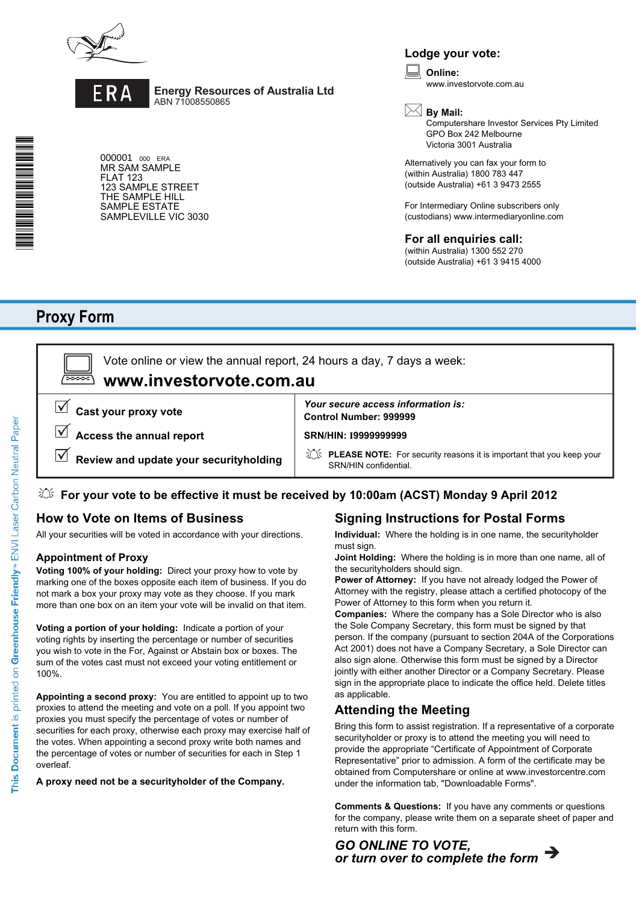



**Energy Resources of Australia Ltd** ABN 71008550865

000001 000 ERA MR SAM SAMPLE FLAT 123 123 SAMPLE STREET THE SAMPLE HILL SAMPLE ESTATE SAMPLEVILLE VIC 3030

### **Lodge your vote:**

**Online:** www.investorvote.com.au  $\boxed{\Box}$ 

**By Mail:**

Computershare Investor Services Pty Limited GPO Box 242 Melbourne Victoria 3001 Australia

Alternatively you can fax your form to (within Australia) 1800 783 447 (outside Australia) +61 3 9473 2555

For Intermediary Online subscribers only (custodians) www.intermediaryonline.com

#### **For all enquiries call:**

(within Australia) 1300 552 270 (outside Australia) +61 3 9415 4000

# **Proxy Form**

**www.investorvote.com.au** Vote online or view the annual report, 24 hours a day, 7 days a week:

**Cast your proxy vote**

**Access the annual report**

**Review and update your securityholding**

**Control Number: 999999** *Your secure access information is:*

**SRN/HIN: I9999999999**

**PLEASE NOTE:** For security reasons it is important that you keep your SRN/HIN confidential.

### **For your vote to be effective it must be received by 10:00am (ACST) Monday 9 April 2012**

### **How to Vote on Items of Business**

All your securities will be voted in accordance with your directions.

#### **Appointment of Proxy**

**Voting 100% of your holding:** Direct your proxy how to vote by marking one of the boxes opposite each item of business. If you do not mark a box your proxy may vote as they choose. If you mark more than one box on an item your vote will be invalid on that item.

**Voting a portion of your holding:** Indicate a portion of your voting rights by inserting the percentage or number of securities you wish to vote in the For, Against or Abstain box or boxes. The sum of the votes cast must not exceed your voting entitlement or 100%.

**Appointing a second proxy:** You are entitled to appoint up to two proxies to attend the meeting and vote on a poll. If you appoint two proxies you must specify the percentage of votes or number of securities for each proxy, otherwise each proxy may exercise half of the votes. When appointing a second proxy write both names and the percentage of votes or number of securities for each in Step 1 overleaf.

**A proxy need not be a securityholder of the Company.**

# **Signing Instructions for Postal Forms**

**Individual:** Where the holding is in one name, the securityholder must sign.

**Joint Holding:** Where the holding is in more than one name, all of the securityholders should sign.

**Power of Attorney:** If you have not already lodged the Power of Attorney with the registry, please attach a certified photocopy of the Power of Attorney to this form when you return it.

**Companies:** Where the company has a Sole Director who is also the Sole Company Secretary, this form must be signed by that person. If the company (pursuant to section 204A of the Corporations Act 2001) does not have a Company Secretary, a Sole Director can also sign alone. Otherwise this form must be signed by a Director jointly with either another Director or a Company Secretary. Please sign in the appropriate place to indicate the office held. Delete titles as applicable.

### **Attending the Meeting**

Bring this form to assist registration. If a representative of a corporate securityholder or proxy is to attend the meeting you will need to provide the appropriate "Certificate of Appointment of Corporate Representative" prior to admission. A form of the certificate may be obtained from Computershare or online at www.investorcentre.com under the information tab, "Downloadable Forms".

**Comments & Questions:** If you have any comments or questions for the company, please write them on a separate sheet of paper and return with this form.

*or turn over to complete the form GO ONLINE TO VOTE,*

**\***<br><br>Proxy Form <br><br><br><br><br><br><br><br><br><br><br><br><br><br><br><br><br><br><br><br><br><br><br><br>